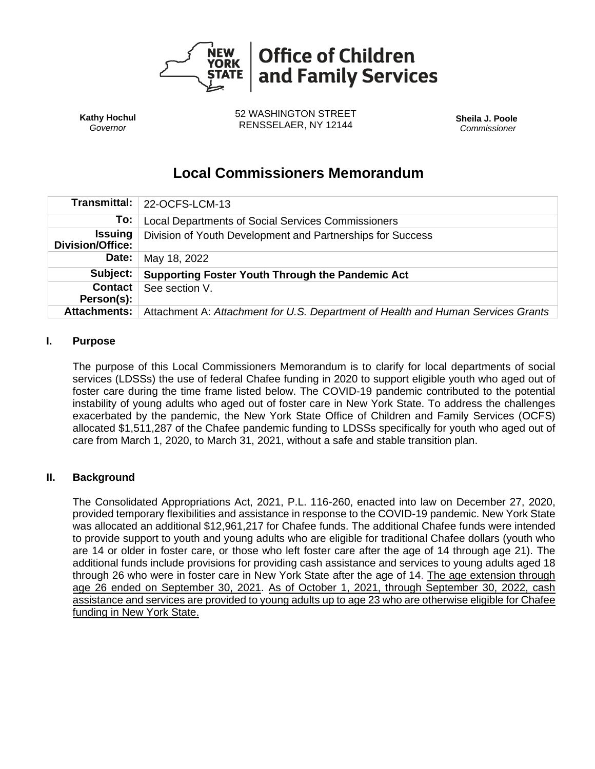

**Kathy Hochul** *Governor*

52 WASHINGTON STREET RENSSELAER, NY 12144 **Sheila J. Poole**

*Commissioner*

# **Local Commissioners Memorandum**

| Transmittal:                              | 22-OCFS-LCM-13                                                                   |  |
|-------------------------------------------|----------------------------------------------------------------------------------|--|
| To:                                       | <b>Local Departments of Social Services Commissioners</b>                        |  |
| <b>Issuing</b><br><b>Division/Office:</b> | Division of Youth Development and Partnerships for Success                       |  |
| Date:                                     | May 18, 2022                                                                     |  |
| Subject:                                  | Supporting Foster Youth Through the Pandemic Act                                 |  |
| <b>Contact</b><br>Person(s):              | See section V.                                                                   |  |
| <b>Attachments:</b>                       | Attachment A: Attachment for U.S. Department of Health and Human Services Grants |  |

#### **I. Purpose**

The purpose of this Local Commissioners Memorandum is to clarify for local departments of social services (LDSSs) the use of federal Chafee funding in 2020 to support eligible youth who aged out of foster care during the time frame listed below. The COVID-19 pandemic contributed to the potential instability of young adults who aged out of foster care in New York State. To address the challenges exacerbated by the pandemic, the New York State Office of Children and Family Services (OCFS) allocated \$1,511,287 of the Chafee pandemic funding to LDSSs specifically for youth who aged out of care from March 1, 2020, to March 31, 2021, without a safe and stable transition plan.

#### **II. Background**

The Consolidated Appropriations Act, 2021, P.L. 116-260, enacted into law on December 27, 2020, provided temporary flexibilities and assistance in response to the COVID-19 pandemic. New York State was allocated an additional \$12,961,217 for Chafee funds. The additional Chafee funds were intended to provide support to youth and young adults who are eligible for traditional Chafee dollars (youth who are 14 or older in foster care, or those who left foster care after the age of 14 through age 21). The additional funds include provisions for providing cash assistance and services to young adults aged 18 through 26 who were in foster care in New York State after the age of 14. The age extension through age 26 ended on September 30, 2021. As of October 1, 2021, through September 30, 2022, cash assistance and services are provided to young adults up to age 23 who are otherwise eligible for Chafee funding in New York State.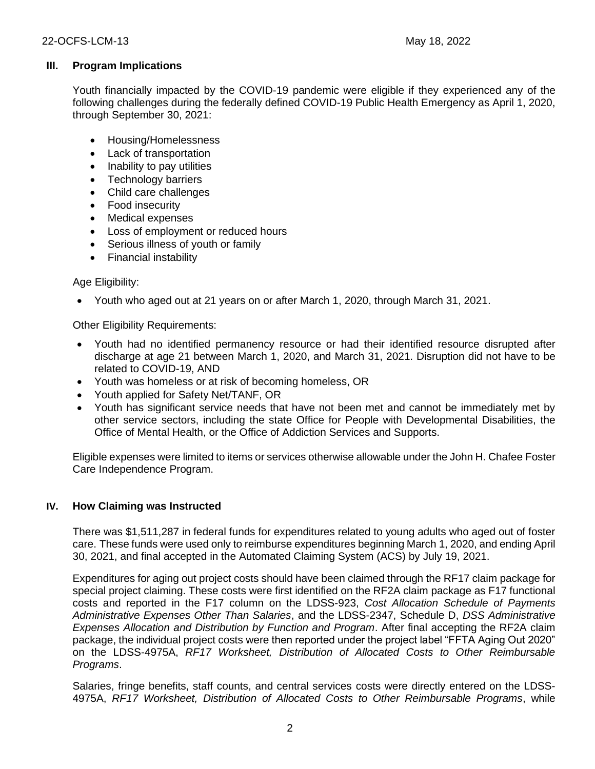## **III. Program Implications**

Youth financially impacted by the COVID-19 pandemic were eligible if they experienced any of the following challenges during the federally defined COVID-19 Public Health Emergency as April 1, 2020, through September 30, 2021:

- Housing/Homelessness
- Lack of transportation
- Inability to pay utilities
- Technology barriers
- Child care challenges
- Food insecurity
- Medical expenses
- Loss of employment or reduced hours
- Serious illness of youth or family
- Financial instability

#### Age Eligibility:

• Youth who aged out at 21 years on or after March 1, 2020, through March 31, 2021.

Other Eligibility Requirements:

- Youth had no identified permanency resource or had their identified resource disrupted after discharge at age 21 between March 1, 2020, and March 31, 2021. Disruption did not have to be related to COVID-19, AND
- Youth was homeless or at risk of becoming homeless, OR
- Youth applied for Safety Net/TANF, OR
- Youth has significant service needs that have not been met and cannot be immediately met by other service sectors, including the state Office for People with Developmental Disabilities, the Office of Mental Health, or the Office of Addiction Services and Supports.

Eligible expenses were limited to items or services otherwise allowable under the John H. Chafee Foster Care Independence Program.

#### **IV. How Claiming was Instructed**

There was \$1,511,287 in federal funds for expenditures related to young adults who aged out of foster care. These funds were used only to reimburse expenditures beginning March 1, 2020, and ending April 30, 2021, and final accepted in the Automated Claiming System (ACS) by July 19, 2021.

Expenditures for aging out project costs should have been claimed through the RF17 claim package for special project claiming. These costs were first identified on the RF2A claim package as F17 functional costs and reported in the F17 column on the LDSS-923, *Cost Allocation Schedule of Payments Administrative Expenses Other Than Salaries*, and the LDSS-2347, Schedule D, *DSS Administrative Expenses Allocation and Distribution by Function and Program*. After final accepting the RF2A claim package, the individual project costs were then reported under the project label "FFTA Aging Out 2020" on the LDSS-4975A, *RF17 Worksheet, Distribution of Allocated Costs to Other Reimbursable Programs*.

Salaries, fringe benefits, staff counts, and central services costs were directly entered on the LDSS-4975A, *RF17 Worksheet, Distribution of Allocated Costs to Other Reimbursable Programs*, while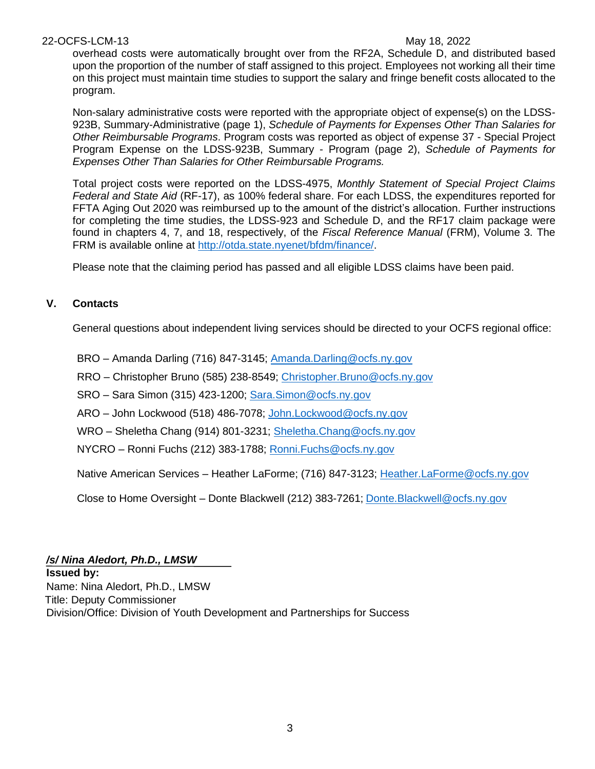#### 22-OCFS-LCM-13 May 18, 2022

overhead costs were automatically brought over from the RF2A, Schedule D, and distributed based upon the proportion of the number of staff assigned to this project. Employees not working all their time on this project must maintain time studies to support the salary and fringe benefit costs allocated to the program.

Non-salary administrative costs were reported with the appropriate object of expense(s) on the LDSS-923B, Summary-Administrative (page 1), *Schedule of Payments for Expenses Other Than Salaries for Other Reimbursable Programs*. Program costs was reported as object of expense 37 - Special Project Program Expense on the LDSS-923B, Summary - Program (page 2), *Schedule of Payments for Expenses Other Than Salaries for Other Reimbursable Programs.* 

Total project costs were reported on the LDSS-4975, *Monthly Statement of Special Project Claims Federal and State Aid* (RF-17), as 100% federal share. For each LDSS, the expenditures reported for FFTA Aging Out 2020 was reimbursed up to the amount of the district's allocation. Further instructions for completing the time studies, the LDSS-923 and Schedule D, and the RF17 claim package were found in chapters 4, 7, and 18, respectively, of the *Fiscal Reference Manual* (FRM), Volume 3. The FRM is available online at [http://otda.state.nyenet/bfdm/finance/.](https://gcc02.safelinks.protection.outlook.com/?url=http%3A%2F%2Fotda.state.nyenet%2Fbfdm%2Ffinance%2F&data=04%7C01%7CJames.Sutton%40ocfs.ny.gov%7C1b023a3e498e4785550f08d9df643582%7Cf46cb8ea79004d108ceb80e8c1c81ee7%7C0%7C0%7C637786443746399822%7CUnknown%7CTWFpbGZsb3d8eyJWIjoiMC4wLjAwMDAiLCJQIjoiV2luMzIiLCJBTiI6Ik1haWwiLCJXVCI6Mn0%3D%7C3000&sdata=5vs5j7wDyZv1YnkgWrZMhWehSsfq%2FvREsoddVVy7nK8%3D&reserved=0)

Please note that the claiming period has passed and all eligible LDSS claims have been paid.

### **V. Contacts**

General questions about independent living services should be directed to your OCFS regional office:

BRO – Amanda Darling (716) 847-3145; [Amanda.Darling@ocfs.ny.gov](mailto:Amanda.Darling@ocfs.ny.gov)

RRO – Christopher Bruno (585) 238-8549; [Christopher.Bruno@ocfs.ny.gov](mailto:Christopher.Bruno@ocfs.ny.gov) 

SRO – Sara Simon (315) 423-1200; [Sara.Simon@ocfs.ny.gov](mailto:Sara.Simon@ocfs.ny.gov)

ARO – John Lockwood (518) 486-7078; [John.Lockwood@ocfs.ny.gov](mailto:John.Lockwood@ocfs.ny.gov)

WRO – Sheletha Chang (914) 801-3231; Sheletha.Chang@ocfs.ny.gov

NYCRO – Ronni Fuchs (212) 383-1788; [Ronni.Fuchs@ocfs.ny.gov](mailto:Ronni.Fuchs@ocfs.ny.gov)

Native American Services – Heather LaForme; (716) 847-3123; [Heather.LaForme@ocfs.ny.gov](mailto:Heather.LaForme@ocfs.ny.gov)

Close to Home Oversight – Donte Blackwell (212) 383-7261; [Donte.Blackwell@ocfs.ny.gov](mailto:Donte.Blackwell@ocfs.ny.gov)

#### */s/ Nina Aledort, Ph.D., LMSW*

**Issued by:** Name: Nina Aledort, Ph.D., LMSW Title: Deputy Commissioner Division/Office: Division of Youth Development and Partnerships for Success